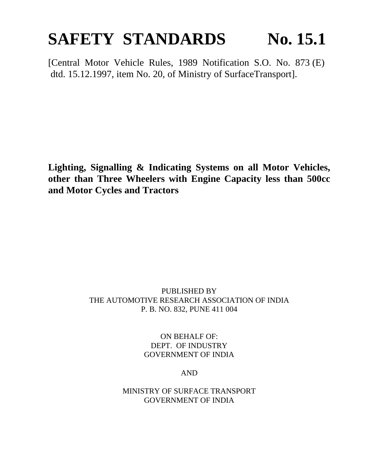# **SAFETY STANDARDS** No. 15.1

[Central Motor Vehicle Rules, 1989 Notification S.O. No. 873 (E) dtd. 15.12.1997, item No. 20, of Ministry of SurfaceTransport].

**Lighting, Signalling & Indicating Systems on all Motor Vehicles, other than Three Wheelers with Engine Capacity less than 500cc and Motor Cycles and Tractors**

#### PUBLISHED BY THE AUTOMOTIVE RESEARCH ASSOCIATION OF INDIA P. B. NO. 832, PUNE 411 004

ON BEHALF OF: DEPT. OF INDUSTRY GOVERNMENT OF INDIA

AND

MINISTRY OF SURFACE TRANSPORT GOVERNMENT OF INDIA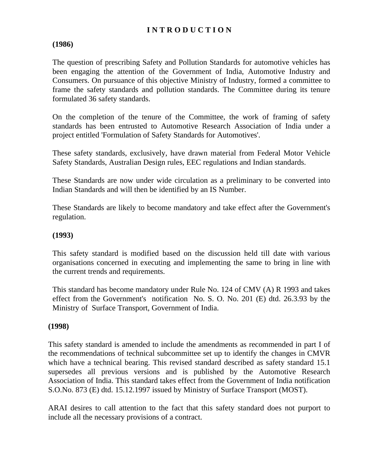### **I N T R O D U C T I O N**

#### **(1986)**

The question of prescribing Safety and Pollution Standards for automotive vehicles has been engaging the attention of the Government of India, Automotive Industry and Consumers. On pursuance of this objective Ministry of Industry, formed a committee to frame the safety standards and pollution standards. The Committee during its tenure formulated 36 safety standards.

On the completion of the tenure of the Committee, the work of framing of safety standards has been entrusted to Automotive Research Association of India under a project entitled 'Formulation of Safety Standards for Automotives'.

These safety standards, exclusively, have drawn material from Federal Motor Vehicle Safety Standards, Australian Design rules, EEC regulations and Indian standards.

These Standards are now under wide circulation as a preliminary to be converted into Indian Standards and will then be identified by an IS Number.

These Standards are likely to become mandatory and take effect after the Government's regulation.

#### **(1993)**

This safety standard is modified based on the discussion held till date with various organisations concerned in executing and implementing the same to bring in line with the current trends and requirements.

This standard has become mandatory under Rule No. 124 of CMV (A) R 1993 and takes effect from the Government's notification No. S. O. No. 201 (E) dtd. 26.3.93 by the Ministry of Surface Transport, Government of India.

#### **(1998)**

This safety standard is amended to include the amendments as recommended in part I of the recommendations of technical subcommittee set up to identify the changes in CMVR which have a technical bearing. This revised standard described as safety standard 15.1 supersedes all previous versions and is published by the Automotive Research Association of India. This standard takes effect from the Government of India notification S.O.No. 873 (E) dtd. 15.12.1997 issued by Ministry of Surface Transport (MOST).

ARAI desires to call attention to the fact that this safety standard does not purport to include all the necessary provisions of a contract.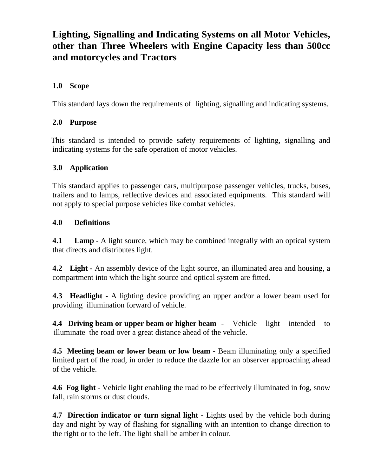## **Lighting, Signalling and Indicating Systems on all Motor Vehicles, other than Three Wheelers with Engine Capacity less than 500cc and motorcycles and Tractors**

#### **1.0 Scope**

This standard lays down the requirements of lighting, signalling and indicating systems.

#### **2.0 Purpose**

This standard is intended to provide safety requirements of lighting, signalling and indicating systems for the safe operation of motor vehicles.

#### **3.0 Application**

This standard applies to passenger cars, multipurpose passenger vehicles, trucks, buses, trailers and to lamps, reflective devices and associated equipments. This standard will not apply to special purpose vehicles like combat vehicles.

#### **4.0 Definitions**

**4.1 Lamp -** A light source, which may be combined integrally with an optical system that directs and distributes light.

**4.2 Light -** An assembly device of the light source, an illuminated area and housing, a compartment into which the light source and optical system are fitted.

**4.3 Headlight -** A lighting device providing an upper and/or a lower beam used for providing illumination forward of vehicle.

**4.4 Driving beam or upper beam or higher beam -** Vehicle light intended to illuminate the road over a great distance ahead of the vehicle.

**4.5 Meeting beam or lower beam or low beam - Beam illuminating only a specified** limited part of the road, in order to reduce the dazzle for an observer approaching ahead of the vehicle.

**4.6 Fog light -** Vehicle light enabling the road to be effectively illuminated in fog, snow fall, rain storms or dust clouds.

**4.7 Direction indicator or turn signal light - Lights used by the vehicle both during** day and night by way of flashing for signalling with an intention to change direction to the right or to the left. The light shall be amber **i**n colour.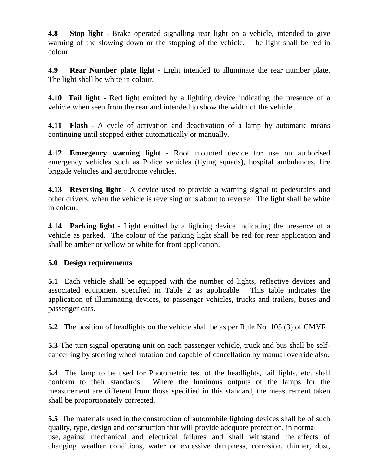**4.8 Stop light** - Brake operated signalling rear light on a vehicle, intended to give warning of the slowing down or the stopping of the vehicle. The light shall be red **i**n colour.

**4.9 Rear Number plate light -** Light intended to illuminate the rear number plate. The light shall be white in colour.

**4.10 Tail light -** Red light emitted by a lighting device indicating the presence of a vehicle when seen from the rear and intended to show the width of the vehicle.

**4.11 Flash -** A cycle of activation and deactivation of a lamp by automatic means continuing until stopped either automatically or manually.

**4.12 Emergency warning light -** Roof mounted device for use on authorised emergency vehicles such as Police vehicles (flying squads), hospital ambulances, fire brigade vehicles and aerodrome vehicles.

**4.13 Reversing light** - A device used to provide a warning signal to pedestrains and other drivers, when the vehicle is reversing or is about to reverse. The light shall be white in colour.

**4.14 Parking light** - Light emitted by a lighting device indicating the presence of a vehicle as parked. The colour of the parking light shall be red for rear application and shall be amber or yellow or white for front application.

#### **5.0 Design requirements**

**5.1** Each vehicle shall be equipped with the number of lights, reflective devices and associated equipment specified in Table 2 as applicable. This table indicates the application of illuminating devices, to passenger vehicles, trucks and trailers, buses and passenger cars.

**5.2** The position of headlights on the vehicle shall be as per Rule No. 105 (3) of CMVR

**5.3** The turn signal operating unit on each passenger vehicle, truck and bus shall be selfcancelling by steering wheel rotation and capable of cancellation by manual override also.

**5.4** The lamp to be used for Photometric test of the headlights, tail lights, etc. shall conform to their standards. Where the luminous outputs of the lamps for the measurement are different from those specified in this standard, the measurement taken shall be proportionately corrected.

**5.5** The materials used in the construction of automobile lighting devices shall be of such quality, type, design and construction that will provide adequate protection, in normal use, against mechanical and electrical failures and shall withstand the effects of changing weather conditions, water or excessive dampness, corrosion, thinner, dust,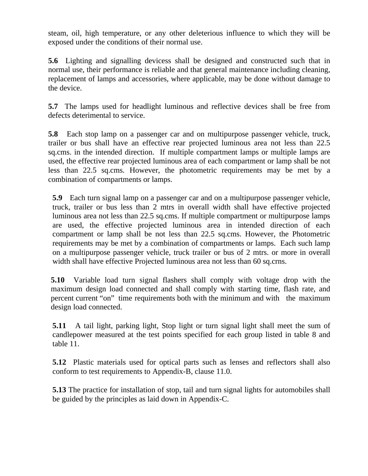steam, oil, high temperature, or any other deleterious influence to which they will be exposed under the conditions of their normal use.

**5.6** Lighting and signalling devicess shall be designed and constructed such that in normal use, their performance is reliable and that general maintenance including cleaning, replacement of lamps and accessories, where applicable, may be done without damage to the device.

**5.7** The lamps used for headlight luminous and reflective devices shall be free from defects deterimental to service.

**5.8** Each stop lamp on a passenger car and on multipurpose passenger vehicle, truck, trailer or bus shall have an effective rear projected luminous area not less than 22.5 sq.cms. in the intended direction. If multiple compartment lamps or multiple lamps are used, the effective rear projected luminous area of each compartment or lamp shall be not less than 22.5 sq.cms. However, the photometric requirements may be met by a combination of compartments or lamps.

**5.9** Each turn signal lamp on a passenger car and on a multipurpose passenger vehicle, truck, trailer or bus less than 2 mtrs in overall width shall have effective projected luminous area not less than 22.5 sq.cms. If multiple compartment or multipurpose lamps are used, the effective projected luminous area in intended direction of each compartment or lamp shall be not less than 22.5 sq.cms. However, the Photometric requirements may be met by a combination of compartments or lamps. Each such lamp on a multipurpose passenger vehicle, truck trailer or bus of 2 mtrs. or more in overall width shall have effective Projected luminous area not less than 60 sq.crns.

**5.10** Variable load turn signal flashers shall comply with voltage drop with the maximum design load connected and shall comply with starting time, flash rate, and percent current "on" time requirements both with the minimum and with the maximum design load connected.

**5.11** A tail light, parking light, Stop light or turn signal light shall meet the sum of candlepower measured at the test points specified for each group listed in table 8 and table 11.

**5.12** Plastic materials used for optical parts such as lenses and reflectors shall also conform to test requirements to Appendix-B, clause 11.0.

**5.13** The practice for installation of stop, tail and turn signal lights for automobiles shall be guided by the principles as laid down in Appendix-C.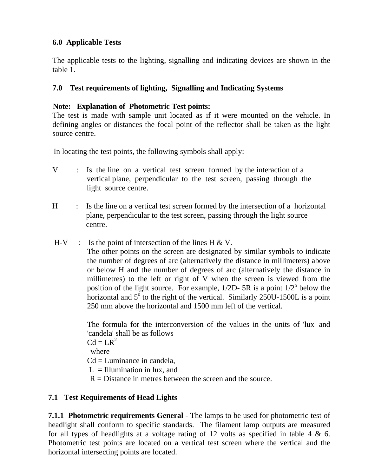### **6.0 Applicable Tests**

The applicable tests to the lighting, signalling and indicating devices are shown in the table 1.

## **7.0 Test requirements of lighting, Signalling and Indicating Systems**

#### **Note: Explanation of Photometric Test points:**

The test is made with sample unit located as if it were mounted on the vehicle. In defining angles or distances the focal point of the reflector shall be taken as the light source centre.

In locating the test points, the following symbols shall apply:

- V : Is the line on a vertical test screen formed by the interaction of a vertical plane, perpendicular to the test screen, passing through the light source centre.
- H : Is the line on a vertical test screen formed by the intersection of a horizontal plane, perpendicular to the test screen, passing through the light source centre.
- $H-V$  : Is the point of intersection of the lines H & V. The other points on the screen are designated by similar symbols to indicate the number of degrees of arc (alternatively the distance in millimeters) above or below H and the number of degrees of arc (alternatively the distance in millimetres) to the left or right of V when the screen is viewed from the position of the light source. For example,  $1/2D - 5R$  is a point  $1/2^{\circ}$  below the horizontal and  $5^\circ$  to the right of the vertical. Similarly 250U-1500L is a point 250 mm above the horizontal and 1500 mm left of the vertical.

The formula for the interconversion of the values in the units of 'lux' and 'candela' shall be as follows

 $Cd = LR^2$  where  $Cd =$ Luminance in candela,  $L =$  Illumination in lux, and  $R =$  Distance in metres between the screen and the source.

#### **7.1 Test Requirements of Head Lights**

**7.1.1 Photometric requirements General** - The lamps to be used for photometric test of headlight shall conform to specific standards. The filament lamp outputs are measured for all types of headlights at a voltage rating of 12 volts as specified in table 4  $\&$  6. Photometric test points are located on a vertical test screen where the vertical and the horizontal intersecting points are located.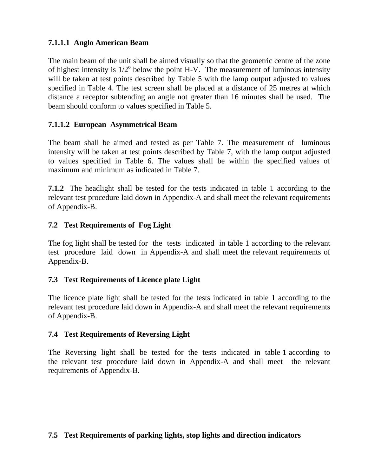#### **7.1.1.1 Anglo American Beam**

The main beam of the unit shall be aimed visually so that the geometric centre of the zone of highest intensity is  $1/2^{\circ}$  below the point H-V. The measurement of luminous intensity will be taken at test points described by Table 5 with the lamp output adjusted to values specified in Table 4. The test screen shall be placed at a distance of 25 metres at which distance a receptor subtending an angle not greater than 16 minutes shall be used. The beam should conform to values specified in Table 5.

#### **7.1.1.2 European Asymmetrical Beam**

The beam shall be aimed and tested as per Table 7. The measurement of luminous intensity will be taken at test points described by Table 7, with the lamp output adjusted to values specified in Table 6. The values shall be within the specified values of maximum and minimum as indicated in Table 7.

**7.1.2** The headlight shall be tested for the tests indicated in table 1 according to the relevant test procedure laid down in Appendix-A and shall meet the relevant requirements of Appendix-B.

#### **7.2 Test Requirements of Fog Light**

The fog light shall be tested for the tests indicated in table 1 according to the relevant test procedure laid downin Appendix-A and shall meet the relevant requirements of Appendix-B.

#### **7.3 Test Requirements of Licence plate Light**

The licence plate light shall be tested for the tests indicated in table 1 according to the relevant test procedure laid down in Appendix-A and shall meet the relevant requirements of Appendix-B.

#### **7.4 Test Requirements of Reversing Light**

The Reversing light shall be tested for the tests indicated in table 1 according to the relevant test procedure laid down in Appendix-A and shall meet the relevant requirements of Appendix-B.

#### **7.5 Test Requirements of parking lights, stop lights and direction indicators**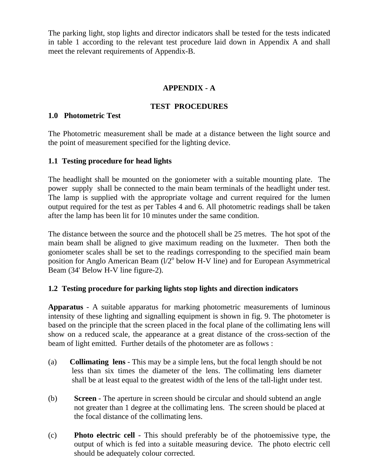The parking light, stop lights and director indicators shall be tested for the tests indicated in table 1 according to the relevant test procedure laid down in Appendix A and shall meet the relevant requirements of Appendix-B.

#### **APPENDIX - A**

#### **TEST PROCEDURES**

#### **1.0 Photometric Test**

The Photometric measurement shall be made at a distance between the light source and the point of measurement specified for the lighting device.

#### **1.1 Testing procedure for head lights**

The headlight shall be mounted on the goniometer with a suitable mounting plate. The power supply shall be connected to the main beam terminals of the headlight under test. The lamp is supplied with the appropriate voltage and current required for the lumen output required for the test as per Tables 4 and 6. All photometric readings shall be taken after the lamp has been lit for 10 minutes under the same condition.

The distance between the source and the photocell shall be 25 metres. The hot spot of the main beam shall be aligned to give maximum reading on the luxmeter. Then both the goniometer scales shall be set to the readings corresponding to the specified main beam position for Anglo American Beam (1/2<sup>o</sup> below H-V line) and for European Asymmetrical Beam (34' Below H-V line figure-2).

#### **1.2 Testing procedure for parking lights stop lights and direction indicators**

**Apparatus** - A suitable apparatus for marking photometric measurements of luminous intensity of these lighting and signalling equipment is shown in fig. 9. The photometer is based on the principle that the screen placed in the focal plane of the collimating lens will show on a reduced scale, the appearance at a great distance of the cross-section of the beam of light emitted. Further details of the photometer are as follows :

- (a) **Collimating lens** This may be a simple lens, but the focal length should be not less than six times the diameter of the lens. The collimating lens diameter shall be at least equal to the greatest width of the lens of the tall-light under test.
- (b) **Screen** The aperture in screen should be circular and should subtend an angle not greater than 1 degree at the collimating lens. The screen should be placed at the focal distance of the collimating lens.
- (c) **Photo electric cell** This should preferably be of the photoemissive type, the output of which is fed into a suitable measuring device. The photo electric cell should be adequately colour corrected.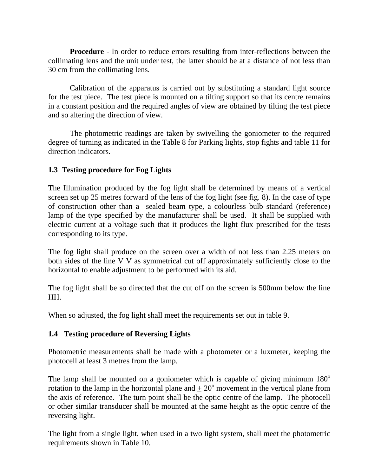**Procedure** - In order to reduce errors resulting from inter-reflections between the collimating lens and the unit under test, the latter should be at a distance of not less than 30 cm from the collimating lens.

Calibration of the apparatus is carried out by substituting a standard light source for the test piece. The test piece is mounted on a tilting support so that its centre remains in a constant position and the required angles of view are obtained by tilting the test piece and so altering the direction of view.

The photometric readings are taken by swivelling the goniometer to the required degree of turning as indicated in the Table 8 for Parking lights, stop fights and table 11 for direction indicators.

#### **1.3 Testing procedure for Fog Lights**

The Illumination produced by the fog light shall be determined by means of a vertical screen set up 25 metres forward of the lens of the fog light (see fig. 8). In the case of type of construction other than a sealed beam type, a colourless bulb standard (reference) lamp of the type specified by the manufacturer shall be used. It shall be supplied with electric current at a voltage such that it produces the light flux prescribed for the tests corresponding to its type.

The fog light shall produce on the screen over a width of not less than 2.25 meters on both sides of the line V V as symmetrical cut off approximately sufficiently close to the horizontal to enable adjustment to be performed with its aid.

The fog light shall be so directed that the cut off on the screen is 500mm below the line HH.

When so adjusted, the fog light shall meet the requirements set out in table 9.

#### **1.4 Testing procedure of Reversing Lights**

Photometric measurements shall be made with a photometer or a luxmeter, keeping the photocell at least 3 metres from the lamp.

The lamp shall be mounted on a goniometer which is capable of giving minimum  $180^\circ$ rotation to the lamp in the horizontal plane and  $\pm 20^{\circ}$  movement in the vertical plane from the axis of reference. The turn point shall be the optic centre of the lamp. The photocell or other similar transducer shall be mounted at the same height as the optic centre of the reversing light.

The light from a single light, when used in a two light system, shall meet the photometric requirements shown in Table 10.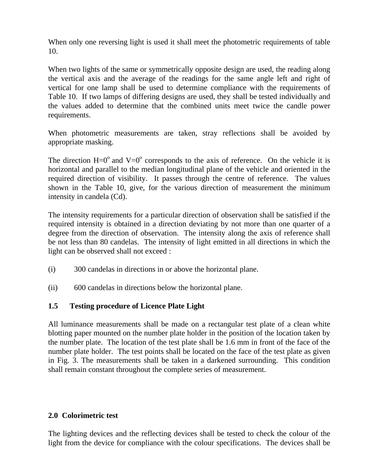When only one reversing light is used it shall meet the photometric requirements of table 10.

When two lights of the same or symmetrically opposite design are used, the reading along the vertical axis and the average of the readings for the same angle left and right of vertical for one lamp shall be used to determine compliance with the requirements of Table 10. If two lamps of differing designs are used, they shall be tested individually and the values added to determine that the combined units meet twice the candle power requirements.

When photometric measurements are taken, stray reflections shall be avoided by appropriate masking.

The direction  $H=0^{\circ}$  and  $V=0^{\circ}$  corresponds to the axis of reference. On the vehicle it is horizontal and parallel to the median longitudinal plane of the vehicle and oriented in the required direction of visibility. It passes through the centre of reference. The values shown in the Table 10, give, for the various direction of measurement the minimum intensity in candela (Cd).

The intensity requirements for a particular direction of observation shall be satisfied if the required intensity is obtained in a direction deviating by not more than one quarter of a degree from the direction of observation. The intensity along the axis of reference shall be not less than 80 candelas. The intensity of light emitted in all directions in which the light can be observed shall not exceed :

- (i) 300 candelas in directions in or above the horizontal plane.
- (ii) 600 candelas in directions below the horizontal plane.

#### **1.5 Testing procedure of Licence Plate Light**

All luminance measurements shall be made on a rectangular test plate of a clean white blotting paper mounted on the number plate holder in the position of the location taken by the number plate. The location of the test plate shall be 1.6 mm in front of the face of the number plate holder. The test points shall be located on the face of the test plate as given in Fig. 3. The measurements shall be taken in a darkened surrounding. This condition shall remain constant throughout the complete series of measurement.

#### **2.0 Colorimetric test**

The lighting devices and the reflecting devices shall be tested to check the colour of the light from the device for compliance with the colour specifications. The devices shall be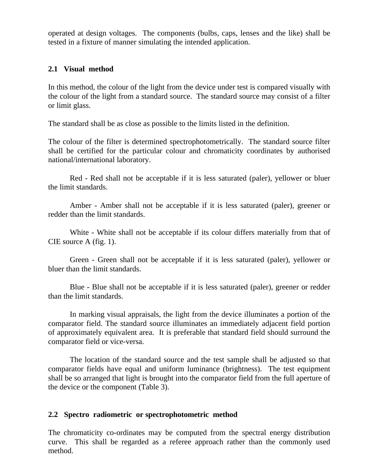operated at design voltages. The components (bulbs, caps, lenses and the like) shall be tested in a fixture of manner simulating the intended application.

#### **2.1 Visual method**

In this method, the colour of the light from the device under test is compared visually with the colour of the light from a standard source. The standard source may consist of a filter or limit glass.

The standard shall be as close as possible to the limits listed in the definition.

The colour of the filter is determined spectrophotometrically. The standard source filter shall be certified for the particular colour and chromaticity coordinates by authorised national/international laboratory.

Red - Red shall not be acceptable if it is less saturated (paler), yellower or bluer the limit standards.

Amber - Amber shall not be acceptable if it is less saturated (paler), greener or redder than the limit standards.

White - White shall not be acceptable if its colour differs materially from that of CIE source A (fig. 1).

Green - Green shall not be acceptable if it is less saturated (paler), yellower or bluer than the limit standards.

Blue - Blue shall not be acceptable if it is less saturated (paler), greener or redder than the limit standards.

In marking visual appraisals, the light from the device illuminates a portion of the comparator field. The standard source illuminates an immediately adjacent field portion of approximately equivalent area. It is preferable that standard field should surround the comparator field or vice-versa.

The location of the standard source and the test sample shall be adjusted so that comparator fields have equal and uniform luminance (brightness). The test equipment shall be so arranged that light is brought into the comparator field from the full aperture of the device or the component (Table 3).

#### **2.2 Spectro radiometric or spectrophotometric method**

The chromaticity co-ordinates may be computed from the spectral energy distribution curve. This shall be regarded as a referee approach rather than the commonly used method.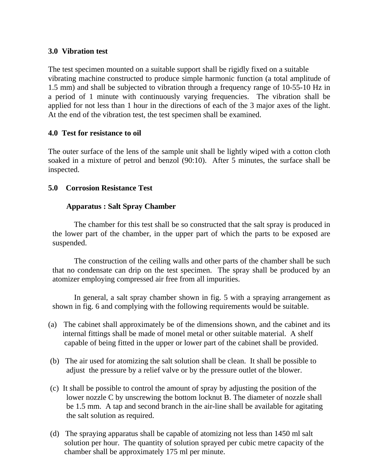#### **3.0 Vibration test**

The test specimen mounted on a suitable support shall be rigidly fixed on a suitable vibrating machine constructed to produce simple harmonic function (a total amplitude of 1.5 mm) and shall be subjected to vibration through a frequency range of 10-55-10 Hz in a period of 1 minute with continuously varying frequencies. The vibration shall be applied for not less than 1 hour in the directions of each of the 3 major axes of the light. At the end of the vibration test, the test specimen shall be examined.

#### **4.0 Test for resistance to oil**

The outer surface of the lens of the sample unit shall be lightly wiped with a cotton cloth soaked in a mixture of petrol and benzol (90:10). After 5 minutes, the surface shall be inspected.

#### **5.0 Corrosion Resistance Test**

#### **Apparatus : Salt Spray Chamber**

 The chamber for this test shall be so constructed that the salt spray is produced in the lower part of the chamber, in the upper part of which the parts to be exposed are suspended.

The construction of the ceiling walls and other parts of the chamber shall be such that no condensate can drip on the test specimen. The spray shall be produced by an atomizer employing compressed air free from all impurities.

In general, a salt spray chamber shown in fig. 5 with a spraying arrangement as shown in fig. 6 and complying with the following requirements would be suitable.

- (a) The cabinet shall approximately be of the dimensions shown, and the cabinet and its internal fittings shall be made of monel metal or other suitable material. A shelf capable of being fitted in the upper or lower part of the cabinet shall be provided.
- (b) The air used for atomizing the salt solution shall be clean. It shall be possible to adjust the pressure by a relief valve or by the pressure outlet of the blower.
- (c) It shall be possible to control the amount of spray by adjusting the position of the lower nozzle C by unscrewing the bottom locknut B. The diameter of nozzle shall be 1.5 mm. A tap and second branch in the air-line shall be available for agitating the salt solution as required.
- (d) The spraying apparatus shall be capable of atomizing not less than 1450 ml salt solution per hour. The quantity of solution sprayed per cubic metre capacity of the chamber shall be approximately 175 ml per minute.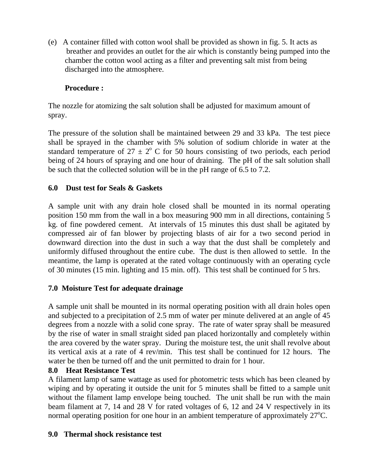(e) A container filled with cotton wool shall be provided as shown in fig. 5. It acts as breather and provides an outlet for the air which is constantly being pumped into the chamber the cotton wool acting as a filter and preventing salt mist from being discharged into the atmosphere.

## **Procedure :**

The nozzle for atomizing the salt solution shall be adjusted for maximum amount of spray.

The pressure of the solution shall be maintained between 29 and 33 kPa. The test piece shall be sprayed in the chamber with 5% solution of sodium chloride in water at the standard temperature of  $27 \pm 2^{\circ}$  C for 50 hours consisting of two periods, each period being of 24 hours of spraying and one hour of draining. The pH of the salt solution shall be such that the collected solution will be in the pH range of 6.5 to 7.2.

#### **6.0 Dust test for Seals & Gaskets**

A sample unit with any drain hole closed shall be mounted in its normal operating position 150 mm from the wall in a box measuring 900 mm in all directions, containing 5 kg. of fine powdered cement. At intervals of 15 minutes this dust shall be agitated by compressed air of fan blower by projecting blasts of air for a two second period in downward direction into the dust in such a way that the dust shall be completely and uniformly diffused throughout the entire cube. The dust is then allowed to settle. In the meantime, the lamp is operated at the rated voltage continuously with an operating cycle of 30 minutes (15 min. lighting and 15 min. off). This test shall be continued for 5 hrs.

#### **7.0 Moisture Test for adequate drainage**

A sample unit shall be mounted in its normal operating position with all drain holes open and subjected to a precipitation of 2.5 mm of water per minute delivered at an angle of 45 degrees from a nozzle with a solid cone spray. The rate of water spray shall be measured by the rise of water in small straight sided pan placed horizontally and completely within the area covered by the water spray. During the moisture test, the unit shall revolve about its vertical axis at a rate of 4 rev/min. This test shall be continued for 12 hours. The water be then be turned off and the unit permitted to drain for 1 hour.

#### **8.0 Heat Resistance Test**

A filament lamp of same wattage as used for photometric tests which has been cleaned by wiping and by operating it outside the unit for 5 minutes shall be fitted to a sample unit without the filament lamp envelope being touched. The unit shall be run with the main beam filament at 7, 14 and 28 V for rated voltages of 6, 12 and 24 V respectively in its normal operating position for one hour in an ambient temperature of approximately  $27^{\circ}$ C.

#### **9.0 Thermal shock resistance test**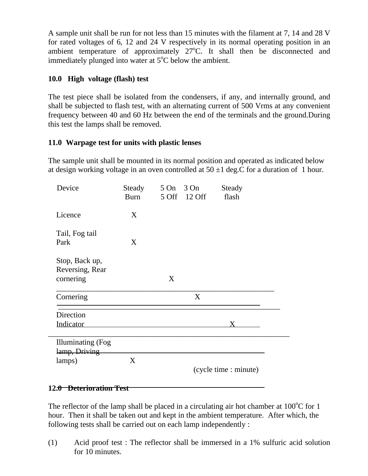A sample unit shall be run for not less than 15 minutes with the filament at 7, 14 and 28 V for rated voltages of 6, 12 and 24 V respectively in its normal operating position in an ambient temperature of approximately  $27^{\circ}$ C. It shall then be disconnected and immediately plunged into water at  $5^{\circ}$ C below the ambient.

#### **10.0 High voltage (flash) test**

The test piece shall be isolated from the condensers, if any, and internally ground, and shall be subjected to flash test, with an alternating current of 500 Vrms at any convenient frequency between 40 and 60 Hz between the end of the terminals and the ground.During this test the lamps shall be removed.

#### **11.0 Warpage test for units with plastic lenses**

The sample unit shall be mounted in its normal position and operated as indicated below at design working voltage in an oven controlled at  $50 \pm 1$  deg.C for a duration of 1 hour.

| Device                                         | Steady<br>Burn | 5 On 3 On<br>5 Off 12 Off | Steady<br>flash       |
|------------------------------------------------|----------------|---------------------------|-----------------------|
| Licence                                        | X              |                           |                       |
| Tail, Fog tail<br>Park                         | X              |                           |                       |
| Stop, Back up,<br>Reversing, Rear<br>cornering |                | X                         |                       |
| Cornering                                      |                | X                         |                       |
| Direction<br>Indicator                         |                |                           | X.                    |
| <b>Illuminating</b> (Fog                       |                |                           |                       |
| lamp, Driving<br>lamps)                        | X              |                           | (cycle time : minute) |

#### **12.0 Deterioration Test**

The reflector of the lamp shall be placed in a circulating air hot chamber at  $100^{\circ}$ C for 1 hour. Then it shall be taken out and kept in the ambient temperature. After which, the following tests shall be carried out on each lamp independently :

(1) Acid proof test : The reflector shall be immersed in a 1% sulfuric acid solution for 10 minutes.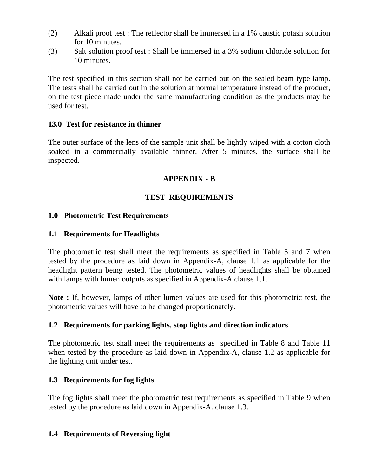- (2) Alkali proof test : The reflector shall be immersed in a 1% caustic potash solution for 10 minutes.
- (3) Salt solution proof test : Shall be immersed in a 3% sodium chloride solution for 10 minutes.

The test specified in this section shall not be carried out on the sealed beam type lamp. The tests shall be carried out in the solution at normal temperature instead of the product, on the test piece made under the same manufacturing condition as the products may be used for test.

#### **13.0 Test for resistance in thinner**

The outer surface of the lens of the sample unit shall be lightly wiped with a cotton cloth soaked in a commercially available thinner. After 5 minutes, the surface shall be inspected.

#### **APPENDIX - B**

#### **TEST REQUIREMENTS**

#### **1.0 Photometric Test Requirements**

#### **1.1 Requirements for Headlights**

The photometric test shall meet the requirements as specified in Table 5 and 7 when tested by the procedure as laid down in Appendix-A, clause 1.1 as applicable for the headlight pattern being tested. The photometric values of headlights shall be obtained with lamps with lumen outputs as specified in Appendix-A clause 1.1.

**Note :** If, however, lamps of other lumen values are used for this photometric test, the photometric values will have to be changed proportionately.

#### **1.2 Requirements for parking lights, stop lights and direction indicators**

The photometric test shall meet the requirements as specified in Table 8 and Table 11 when tested by the procedure as laid down in Appendix-A, clause 1.2 as applicable for the lighting unit under test.

#### **1.3 Requirements for fog lights**

The fog lights shall meet the photometric test requirements as specified in Table 9 when tested by the procedure as laid down in Appendix-A. clause 1.3.

#### **1.4 Requirements of Reversing light**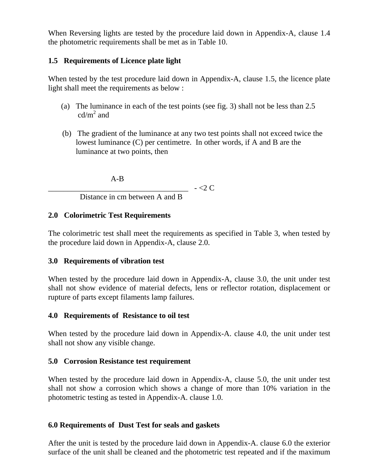When Reversing lights are tested by the procedure laid down in Appendix-A, clause 1.4 the photometric requirements shall be met as in Table 10.

#### **1.5 Requirements of Licence plate light**

When tested by the test procedure laid down in Appendix-A, clause 1.5, the licence plate light shall meet the requirements as below :

- (a) The luminance in each of the test points (see fig. 3) shall not be less than 2.5  $cd/m<sup>2</sup>$  and
- (b) The gradient of the luminance at any two test points shall not exceed twice the lowest luminance (C) per centimetre. In other words, if A and B are the luminance at two points, then

A-B

 $\sim$  - <2 C

Distance in cm between A and B

#### **2.0 Colorimetric Test Requirements**

The colorimetric test shall meet the requirements as specified in Table 3, when tested by the procedure laid down in Appendix-A, clause 2.0.

#### **3.0 Requirements of vibration test**

When tested by the procedure laid down in Appendix-A, clause 3.0, the unit under test shall not show evidence of material defects, lens or reflector rotation, displacement or rupture of parts except filaments lamp failures.

#### **4.0 Requirements of Resistance to oil test**

When tested by the procedure laid down in Appendix-A. clause 4.0, the unit under test shall not show any visible change.

#### **5.0 Corrosion Resistance test requirement**

When tested by the procedure laid down in Appendix-A, clause 5.0, the unit under test shall not show a corrosion which shows a change of more than 10% variation in the photometric testing as tested in Appendix-A. clause 1.0.

#### **6.0 Requirements of Dust Test for seals and gaskets**

After the unit is tested by the procedure laid down in Appendix-A. clause 6.0 the exterior surface of the unit shall be cleaned and the photometric test repeated and if the maximum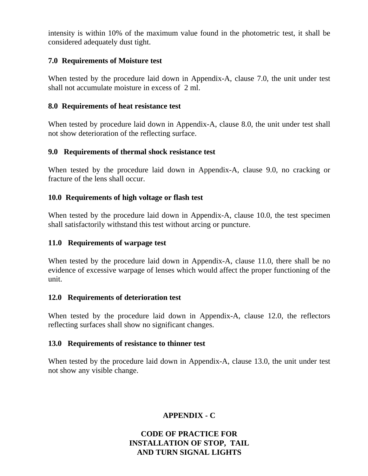intensity is within 10% of the maximum value found in the photometric test, it shall be considered adequately dust tight.

#### **7.0 Requirements of Moisture test**

When tested by the procedure laid down in Appendix-A, clause 7.0, the unit under test shall not accumulate moisture in excess of 2 ml.

#### **8.0 Requirements of heat resistance test**

When tested by procedure laid down in Appendix-A, clause 8.0, the unit under test shall not show deterioration of the reflecting surface.

#### **9.0 Requirements of thermal shock resistance test**

When tested by the procedure laid down in Appendix-A, clause 9.0, no cracking or fracture of the lens shall occur.

#### **10.0 Requirements of high voltage or flash test**

When tested by the procedure laid down in Appendix-A, clause 10.0, the test specimen shall satisfactorily withstand this test without arcing or puncture.

#### **11.0 Requirements of warpage test**

When tested by the procedure laid down in Appendix-A, clause 11.0, there shall be no evidence of excessive warpage of lenses which would affect the proper functioning of the unit.

#### **12.0 Requirements of deterioration test**

When tested by the procedure laid down in Appendix-A, clause 12.0, the reflectors reflecting surfaces shall show no significant changes.

#### **13.0 Requirements of resistance to thinner test**

When tested by the procedure laid down in Appendix-A, clause 13.0, the unit under test not show any visible change.

#### **APPENDIX - C**

#### **CODE OF PRACTICE FOR INSTALLATION OF STOP, TAIL AND TURN SIGNAL LIGHTS**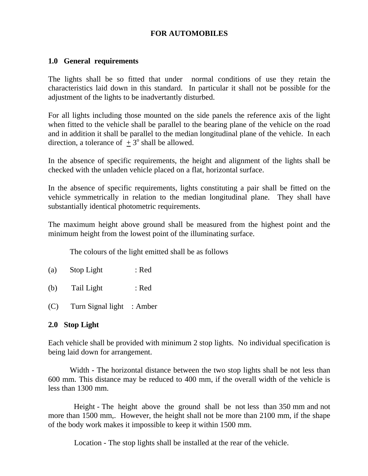#### **FOR AUTOMOBILES**

#### **1.0 General requirements**

The lights shall be so fitted that under normal conditions of use they retain the characteristics laid down in this standard. In particular it shall not be possible for the adjustment of the lights to be inadvertantly disturbed.

For all lights including those mounted on the side panels the reference axis of the light when fitted to the vehicle shall be parallel to the bearing plane of the vehicle on the road and in addition it shall be parallel to the median longitudinal plane of the vehicle. In each direction, a tolerance of  $\pm 3^{\circ}$  shall be allowed.

In the absence of specific requirements, the height and alignment of the lights shall be checked with the unladen vehicle placed on a flat, horizontal surface.

In the absence of specific requirements, lights constituting a pair shall be fitted on the vehicle symmetrically in relation to the median longitudinal plane. They shall have substantially identical photometric requirements.

The maximum height above ground shall be measured from the highest point and the minimum height from the lowest point of the illuminating surface.

The colours of the light emitted shall be as follows

- (a) Stop Light : Red
- (b) Tail Light : Red
- (C) Turn Signal light : Amber

#### **2.0 Stop Light**

Each vehicle shall be provided with minimum 2 stop lights. No individual specification is being laid down for arrangement.

Width - The horizontal distance between the two stop lights shall be not less than 600 mm. This distance may be reduced to 400 mm, if the overall width of the vehicle is less than 1300 mm.

 Height - The height above the ground shall be not less than 350 mm and not more than 1500 mm,. However, the height shall not be more than 2100 mm, if the shape of the body work makes it impossible to keep it within 1500 mm.

Location - The stop lights shall be installed at the rear of the vehicle.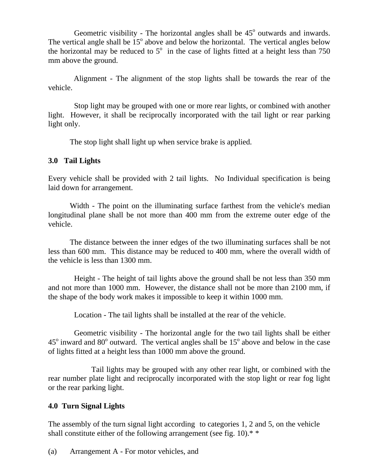Geometric visibility - The horizontal angles shall be  $45^{\circ}$  outwards and inwards. The vertical angle shall be  $15^{\circ}$  above and below the horizontal. The vertical angles below the horizontal may be reduced to  $5^\circ$  in the case of lights fitted at a height less than 750 mm above the ground.

 Alignment - The alignment of the stop lights shall be towards the rear of the vehicle.

Stop light may be grouped with one or more rear lights, or combined with another light. However, it shall be reciprocally incorporated with the tail light or rear parking light only.

The stop light shall light up when service brake is applied.

#### **3.0 Tail Lights**

Every vehicle shall be provided with 2 tail lights. No Individual specification is being laid down for arrangement.

Width - The point on the illuminating surface farthest from the vehicle's median longitudinal plane shall be not more than 400 mm from the extreme outer edge of the vehicle.

The distance between the inner edges of the two illuminating surfaces shall be not less than 600 mm. This distance may be reduced to 400 mm, where the overall width of the vehicle is less than 1300 mm.

Height - The height of tail lights above the ground shall be not less than 350 mm and not more than 1000 mm. However, the distance shall not be more than 2100 mm, if the shape of the body work makes it impossible to keep it within 1000 mm.

Location - The tail lights shall be installed at the rear of the vehicle.

Geometric visibility - The horizontal angle for the two tail lights shall be either  $45^{\circ}$  inward and  $80^{\circ}$  outward. The vertical angles shall be  $15^{\circ}$  above and below in the case of lights fitted at a height less than 1000 mm above the ground.

Tail lights may be grouped with any other rear light, or combined with the rear number plate light and reciprocally incorporated with the stop light or rear fog light or the rear parking light.

#### **4.0 Turn Signal Lights**

The assembly of the turn signal light according to categories 1, 2 and 5, on the vehicle shall constitute either of the following arrangement (see fig. 10).<sup>\*</sup>

(a) Arrangement A - For motor vehicles, and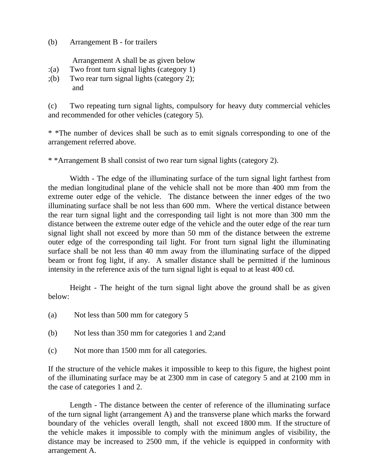(b) Arrangement B - for trailers

Arrangement A shall be as given below

- :(a) Two front turn signal lights (category 1)
- ;(b) Two rear turn signal lights (category 2); and

(c) Two repeating turn signal lights, compulsory for heavy duty commercial vehicles and recommended for other vehicles (category 5).

\* \*The number of devices shall be such as to emit signals corresponding to one of the arrangement referred above.

\* \*Arrangement B shall consist of two rear turn signal lights (category 2).

Width - The edge of the illuminating surface of the turn signal light farthest from the median longitudinal plane of the vehicle shall not be more than 400 mm from the extreme outer edge of the vehicle. The distance between the inner edges of the two illuminating surface shall be not less than 600 mm. Where the vertical distance between the rear turn signal light and the corresponding tail light is not more than 300 mm the distance between the extreme outer edge of the vehicle and the outer edge of the rear turn signal light shall not exceed by more than 50 mm of the distance between the extreme outer edge of the corresponding tail light. For front turn signal light the illuminating surface shall be not less than 40 mm away from the illuminating surface of the dipped beam or front fog light, if any. A smaller distance shall be permitted if the luminous intensity in the reference axis of the turn signal light is equal to at least 400 cd.

Height - The height of the turn signal light above the ground shall be as given below:

- (a) Not less than 500 mm for category 5
- (b) Not less than 350 mm for categories 1 and 2;and
- (c) Not more than 1500 mm for all categories.

If the structure of the vehicle makes it impossible to keep to this figure, the highest point of the illuminating surface may be at 2300 mm in case of category 5 and at 2100 mm in the case of categories 1 and 2.

Length - The distance between the center of reference of the illuminating surface of the turn signal light (arrangement A) and the transverse plane which marks the forward boundary of the vehicles overall length, shall not exceed 1800 mm. If the structure of the vehicle makes it impossible to comply with the minimum angles of visibility, the distance may be increased to 2500 mm, if the vehicle is equipped in conformity with arrangement A.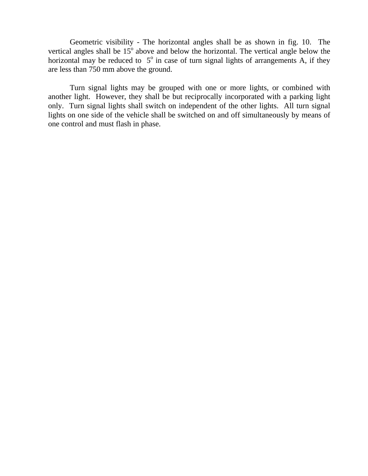Geometric visibility - The horizontal angles shall be as shown in fig. 10. The vertical angles shall be  $15^{\circ}$  above and below the horizontal. The vertical angle below the horizontal may be reduced to  $5^\circ$  in case of turn signal lights of arrangements A, if they are less than 750 mm above the ground.

Turn signal lights may be grouped with one or more lights, or combined with another light. However, they shall be but reciprocally incorporated with a parking light only. Turn signal lights shall switch on independent of the other lights. All turn signal lights on one side of the vehicle shall be switched on and off simultaneously by means of one control and must flash in phase.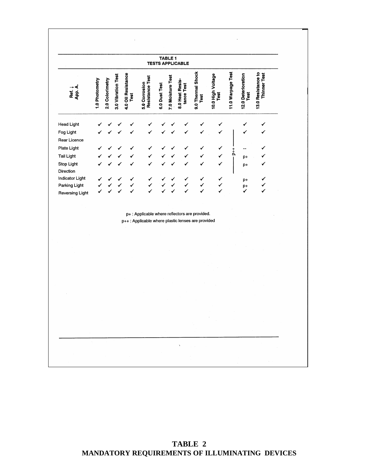|                        |                |                 |                    |                            |                                                                                                     |               | TABLE 1           | <b>TESTS APPLICABLE</b>       |                           |                           |                    |                            |                                    |  |
|------------------------|----------------|-----------------|--------------------|----------------------------|-----------------------------------------------------------------------------------------------------|---------------|-------------------|-------------------------------|---------------------------|---------------------------|--------------------|----------------------------|------------------------------------|--|
| Ref. J<br>App. A.      | 1.0 Photometry | 2.0 Colorimetry | 3.0 Vibration Test | 4.0 Oil Resistance<br>Test | <b>Resistance Test</b><br>5.0 Corrosion                                                             | 6.0 Dust Test | 7.0 Moisture Test | 8.0 Heat Resis-<br>tance Test | 9.0 Thermal Shock<br>Test | 10.0 High Voltage<br>Test | 11.0 Warpage Test  | 12.0 Deterioration<br>Test | 13.0 Resistance to<br>Thinner Test |  |
| <b>Head Light</b>      |                |                 |                    |                            |                                                                                                     |               |                   |                               |                           |                           |                    | ✓                          |                                    |  |
| Fog Light              |                |                 |                    |                            |                                                                                                     |               |                   |                               |                           |                           |                    | ✓                          |                                    |  |
| Rear Licence           |                |                 |                    |                            |                                                                                                     |               |                   |                               |                           |                           |                    |                            |                                    |  |
| Plate Light            |                |                 |                    |                            |                                                                                                     |               |                   |                               | ✓                         | ✓                         |                    |                            |                                    |  |
| <b>Tail Light</b>      |                |                 |                    |                            |                                                                                                     |               |                   |                               |                           |                           | $\frac{1}{\Delta}$ | $p+$                       |                                    |  |
| Stop Light             |                |                 |                    |                            |                                                                                                     |               |                   |                               |                           | ✓                         |                    | p+                         |                                    |  |
| Direction              |                |                 |                    |                            |                                                                                                     |               |                   |                               |                           |                           |                    |                            |                                    |  |
| Indicator Light        |                |                 |                    |                            |                                                                                                     |               |                   |                               | ✓                         |                           |                    | p+                         |                                    |  |
| Parking Light          |                |                 |                    |                            |                                                                                                     |               |                   |                               |                           | $\checkmark$              |                    | p+<br>✓                    |                                    |  |
| <b>Reversing Light</b> |                |                 |                    |                            |                                                                                                     |               |                   |                               |                           |                           |                    |                            |                                    |  |
|                        |                |                 |                    |                            | p+ : Applicable where reflectors are provided.<br>p++: Applicable where plastic lenses are provided |               |                   |                               |                           |                           |                    |                            |                                    |  |
|                        |                |                 |                    |                            |                                                                                                     |               |                   |                               |                           |                           |                    |                            |                                    |  |
|                        |                |                 |                    |                            |                                                                                                     |               |                   |                               |                           |                           |                    |                            |                                    |  |
|                        |                |                 |                    |                            |                                                                                                     |               |                   |                               |                           |                           |                    |                            |                                    |  |
|                        |                |                 |                    |                            |                                                                                                     |               |                   |                               |                           |                           |                    |                            |                                    |  |
|                        |                |                 |                    |                            |                                                                                                     |               |                   |                               |                           |                           |                    |                            |                                    |  |
|                        |                |                 |                    |                            |                                                                                                     |               |                   |                               |                           |                           |                    |                            |                                    |  |
|                        |                |                 |                    |                            |                                                                                                     |               |                   |                               |                           |                           |                    |                            |                                    |  |
|                        |                |                 |                    |                            |                                                                                                     |               |                   |                               |                           |                           |                    |                            |                                    |  |
|                        |                |                 |                    |                            |                                                                                                     |               |                   |                               |                           |                           |                    |                            |                                    |  |
|                        |                |                 |                    |                            |                                                                                                     |               |                   |                               |                           |                           |                    |                            |                                    |  |
|                        |                |                 |                    |                            |                                                                                                     |               |                   |                               |                           |                           |                    |                            |                                    |  |
|                        |                |                 |                    |                            |                                                                                                     |               |                   |                               |                           |                           |                    |                            |                                    |  |
|                        |                |                 |                    |                            |                                                                                                     |               |                   |                               |                           |                           |                    |                            |                                    |  |
|                        |                |                 |                    |                            |                                                                                                     |               |                   |                               |                           |                           |                    |                            |                                    |  |
|                        |                |                 |                    |                            |                                                                                                     |               |                   |                               |                           |                           |                    |                            |                                    |  |
|                        |                |                 |                    |                            |                                                                                                     |               |                   |                               |                           |                           |                    |                            |                                    |  |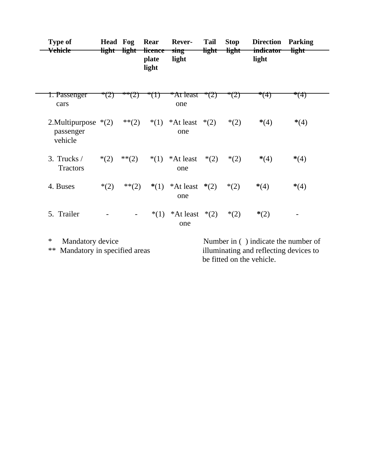| <b>Type of</b><br><del>Vehicle</del>           | <b>Head Fog</b><br><del>light -</del> | <del>light</del> | Rear<br><del>licence</del><br>plate<br>light | <b>Rever-</b><br>sing<br>light | <b>Tail</b><br><del>light</del> | <b>Stop</b><br><b>light</b> | <b>Direction</b><br><del>indicator</del><br>light | <b>Parking</b><br><del>light</del> |
|------------------------------------------------|---------------------------------------|------------------|----------------------------------------------|--------------------------------|---------------------------------|-----------------------------|---------------------------------------------------|------------------------------------|
| 1. Passenger<br>cars                           | $\angle$                              |                  | (T)                                          | * <del>At least</del><br>one   | $^*(Z)$                         | (Z)                         | *(4)                                              | **(4)                              |
| 2. Multipurpose $*(2)$<br>passenger<br>vehicle |                                       | $**(2)$          | $*(1)$                                       | *At least $*(2)$<br>one        |                                 | $*(2)$                      | $*(4)$                                            | $*(4)$                             |
| 3. Trucks /<br><b>Tractors</b>                 | $*(2)$                                | $**(2)$          | $*(1)$                                       | *At least<br>one               | $*(2)$                          | $*(2)$                      | $*(4)$                                            | $*(4)$                             |
| 4. Buses                                       | $*(2)$                                | $**(2)$          | $*(1)$                                       | *At least<br>one               | $*(2)$                          | $*(2)$                      | $*(4)$                                            | $*(4)$                             |
| 5. Trailer                                     |                                       |                  | $*(1)$                                       | *At least $*(2)$<br>one        |                                 | $*(2)$                      | $*(2)$                                            |                                    |
| $\ast$<br>Mandatory device                     |                                       |                  |                                              |                                |                                 |                             | Number in () indicate the number of               |                                    |

\*\* Mandatory in specified areas illuminating and reflecting devices to be fitted on the vehicle.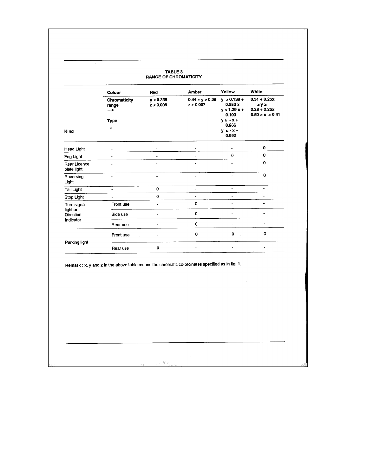| <b>TABLE 3</b><br><b>RANGE OF CHROMATICITY</b> |                            |                                            |                                         |                                                        |                                                                  |  |  |  |
|------------------------------------------------|----------------------------|--------------------------------------------|-----------------------------------------|--------------------------------------------------------|------------------------------------------------------------------|--|--|--|
|                                                | Colour                     | Red                                        | Amber                                   | Yellow                                                 | White                                                            |  |  |  |
|                                                | Chromaticity<br>range<br>→ | $y \le 0.335$<br>$z \le 0.008$<br>$\Delta$ | $0.44 \ge y \ge 0.39$<br>$z \geq 0.007$ | $y \ge 0.138 +$<br>0.580x<br>$y \le 1.29 x +$<br>0.100 | $0.31 + 0.25x$<br>≥y≥<br>$0.28 + 0.25x$<br>$0.50 \ge x \ge 0.41$ |  |  |  |
| Kind                                           | Type<br>v                  |                                            |                                         | $y \ge -x +$<br>0.966<br>$V S - X +$<br>0.992          |                                                                  |  |  |  |
| <b>Head Light</b>                              |                            |                                            |                                         |                                                        | 0                                                                |  |  |  |
| Fog Light                                      |                            |                                            |                                         | $\Omega$                                               | $\mathbf 0$                                                      |  |  |  |
| Rear Licence<br>plate light                    |                            |                                            |                                         |                                                        | $\Omega$                                                         |  |  |  |
| Reversing<br>Light                             | $\overline{a}$             | $\blacksquare$                             | ٠                                       | ٠                                                      | $\Omega$                                                         |  |  |  |
| <b>Tail Light</b>                              | ٠                          | 0                                          | $\blacksquare$                          | ä,                                                     | $\overline{\phantom{a}}$                                         |  |  |  |
| Stop Light                                     |                            | $\mathbf 0$                                | $\overline{\phantom{a}}$                |                                                        | ٠                                                                |  |  |  |
| Turn signal<br>light or                        | Front use                  | ٠                                          | $\mathbf{o}$                            |                                                        | $\overline{a}$                                                   |  |  |  |
| Direction<br>Indicator                         | Side use                   |                                            | $\mathbf 0$                             |                                                        |                                                                  |  |  |  |
|                                                | Rear use                   |                                            | 0                                       | $\blacksquare$                                         | $\lambda$                                                        |  |  |  |
|                                                | Front use                  |                                            | $\Omega$                                | $\mathbf 0$                                            | $\mathbf 0$                                                      |  |  |  |
| Parking light                                  | Rear use                   | 0                                          | ä,                                      |                                                        | $\bullet$ .                                                      |  |  |  |

 $\sim$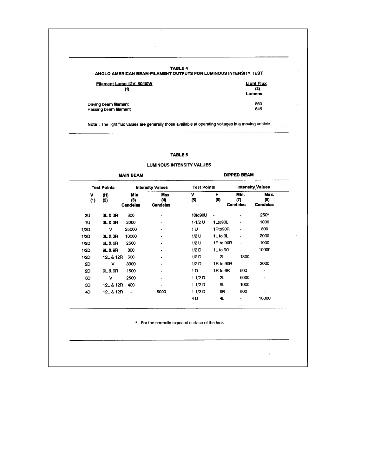| <b>TABLE 4</b><br>ANGLO AMERICAN BEAM-FILAMENT OUTPUTS FOR LUMINOUS INTENSITY TEST |                   |
|------------------------------------------------------------------------------------|-------------------|
| Filament Lamp 12V, 50/40W                                                          | <b>Light Flux</b> |
| $_{(1)}$                                                                           | (2)<br>Lumens     |
| Driving beam filament<br>$\cdot$                                                   | 860               |
| Passing beam filament                                                              | 645               |

Note : The light flux values are generally those available at operating voltages in a moving vehicle.

#### TABLE 5

#### **LUMINOUS INTENSITY VALUES**

|          |                    | <b>MAIN BEAM</b>              |                               | <b>DIPPED BEAM</b> |                              |                         |                         |  |
|----------|--------------------|-------------------------------|-------------------------------|--------------------|------------------------------|-------------------------|-------------------------|--|
|          | <b>Test Points</b> |                               | <b>Intensity Values</b>       | <b>Test Points</b> |                              | <b>Intensity Values</b> |                         |  |
| v<br>(1) | (H)<br>(2)         | Min<br>(3)<br><b>Candelas</b> | Max<br>(4)<br><b>Candelas</b> | v<br>(5)           | н<br>(6)                     | Min.<br>(7)<br>Candelas | Max.<br>(8)<br>Candelas |  |
| 2U       | 3L & 3R            | 800                           |                               | 10to90U            | $\qquad \qquad \blacksquare$ |                         | 250*                    |  |
| 1U       | 3L & 3R            | 2000                          |                               | $1-1/2$ U          | 1Lto90L                      |                         | 1000                    |  |
| 1/2D     | ν                  | 25000                         |                               | 1 U                | 1Rto90R                      |                         | 800                     |  |
| 1/2D     | 3L & 3R            | 10000                         |                               | $1/2$ U            | 1L to 3L                     |                         | 2000                    |  |
| 1/2D     | 6L& 6R             | 2500                          |                               | $1/2$ U            | 1R to 90R                    |                         | 1000                    |  |
| 1/2D     | 9L & 9R            | 800                           |                               | 1/2D               | 1L to 90L                    | e.                      | 10000                   |  |
| 1/2D     | 12L & 12R          | 600                           |                               | $1/2$ D            | 2L                           | 1800                    | ۰                       |  |
| 2D       | ν                  | 3000                          |                               | 1/2 <sub>D</sub>   | 1R to 90R                    | $\blacksquare$          | 2000                    |  |
| 2D       | 9L& 9R             | 1500                          |                               | 1 D                | 1R to 6R                     | 500                     | -                       |  |
| 3D       | v                  | 2500                          |                               | 1-1/2 D            | 2                            | 6000                    | ٠                       |  |
| 3D       | 12L & 12R          | 400                           |                               | $1-1/2$ D          | 9.                           | 1000                    |                         |  |
| 4D       | 12L & 12R          |                               | 5000                          | $1-1/2$ D          | 9R                           | 500                     |                         |  |
|          |                    |                               |                               | 4 D                | 4                            |                         | 16000                   |  |

\* - For the normally exposed surface of the lens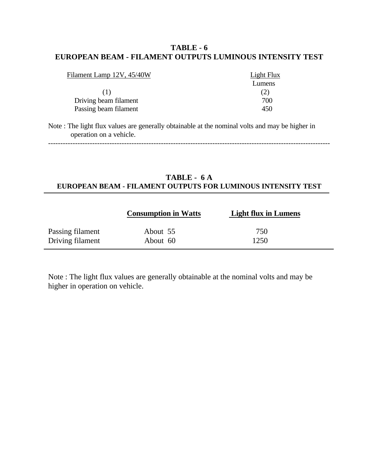#### **TABLE - 6 EUROPEAN BEAM - FILAMENT OUTPUTS LUMINOUS INTENSITY TEST**

| Filament Lamp 12V, 45/40W | <b>Light Flux</b> |
|---------------------------|-------------------|
|                           | Lumens            |
| $\Box$                    | (2)               |
| Driving beam filament     | 700               |
| Passing beam filament     | 450               |

Note : The light flux values are generally obtainable at the nominal volts and may be higher in operation on a vehicle.

-------------------------------------------------------------------------------------------------------------------

#### **TABLE - 6 A EUROPEAN BEAM - FILAMENT OUTPUTS FOR LUMINOUS INTENSITY TEST**

|                  | <b>Consumption in Watts</b> | <b>Light flux in Lumens</b> |  |
|------------------|-----------------------------|-----------------------------|--|
| Passing filament | About 55                    | 750                         |  |
| Driving filament | About 60                    | 1250                        |  |

Note : The light flux values are generally obtainable at the nominal volts and may be higher in operation on vehicle.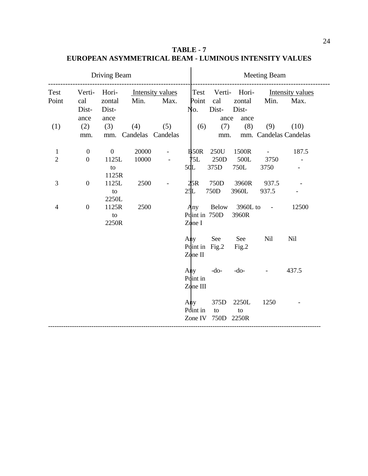**TABLE - 7 EUROPEAN ASYMMETRICAL BEAM - LUMINOUS INTENSITY VALUES**

|                                |                                      | Driving Beam                           |                |                              |                                            | <b>Meeting Beam</b>  |                                              |                                 |                                       |  |  |
|--------------------------------|--------------------------------------|----------------------------------------|----------------|------------------------------|--------------------------------------------|----------------------|----------------------------------------------|---------------------------------|---------------------------------------|--|--|
| Test<br>Point                  | Verti-<br>cal<br>Dist-<br>ance       | Hori-<br>zontal<br>Dist-<br>ance       | Min.           | Intensity values<br>Max.     | Point<br>No.                               | cal<br>Dist-<br>ance | Test Verti- Hori-<br>zontal<br>Dist-<br>ance | Min.                            | Intensity values<br>Max.              |  |  |
| (1)                            | $(2)$ $(3)$<br>mm.                   |                                        | (4)            | (5)<br>mm. Candelas Candelas |                                            | (6)<br>mm.           | $(7)$ $(8)$                                  |                                 | $(9)$ $(10)$<br>mm. Candelas Candelas |  |  |
| $\mathbf{1}$<br>$\overline{2}$ | $\boldsymbol{0}$<br>$\boldsymbol{0}$ | $\overline{0}$<br>1125L<br>to<br>1125R | 20000<br>10000 |                              | <b>B50R</b><br>75L<br>50L                  | 375D                 | 250U 1500R<br>250D 500L<br>750L              | $\sim 10^{-10}$<br>3750<br>3750 | 187.5<br>$\blacksquare$               |  |  |
| 3                              | $\boldsymbol{0}$                     | 1125L<br>to<br>2250L                   | 2500           |                              | 25R<br>25L                                 | 750D<br>750D         | 3960R<br>3960L                               | 937.5<br>937.5                  |                                       |  |  |
| 4                              | $\boldsymbol{0}$                     | 1125R<br>to<br>2250R                   | 2500           |                              | Any<br>Point in 750D<br>Zone I             |                      | 3960R                                        | Below 3960L to -                | 12500                                 |  |  |
|                                |                                      |                                        |                |                              | Any See<br>Point in Fig.2 Fig.2<br>Zone II |                      | See                                          | Nil                             | <b>Nil</b>                            |  |  |
|                                |                                      |                                        |                |                              | Any<br>Point in<br>Zone III                | $-do-$               | $-do-$                                       |                                 | 437.5                                 |  |  |
|                                |                                      |                                        |                |                              | Any<br>Point in<br>Zone IV 750D            | 375D<br>to           | 2250L<br>to<br>2250R                         | 1250                            |                                       |  |  |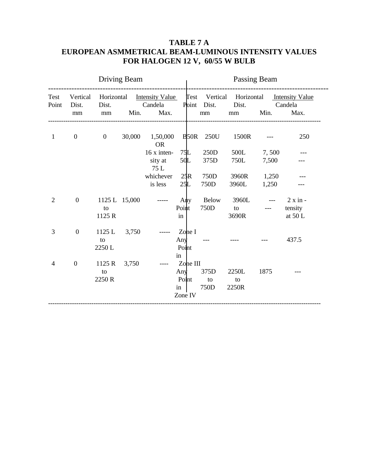#### **TABLE 7 A EUROPEAN ASMMETRICAL BEAM-LUMINOUS INTENSITY VALUES FOR HALOGEN 12 V, 60/55 W BULB**

|                |                         |                | Driving Beam |                                        |                          | Passing Beam |          |                                 |                                                                                                                                                                                                                                                                                                                                                                                              |                                                                             |  |
|----------------|-------------------------|----------------|--------------|----------------------------------------|--------------------------|--------------|----------|---------------------------------|----------------------------------------------------------------------------------------------------------------------------------------------------------------------------------------------------------------------------------------------------------------------------------------------------------------------------------------------------------------------------------------------|-----------------------------------------------------------------------------|--|
| Test<br>Point  | Vertical<br>Dist.<br>mm | Dist.<br>mm    | Candela      | Min. Max.                              | <b>Contract Contract</b> |              | mm       | Point Dist. Dist. Candela<br>mm | Min.                                                                                                                                                                                                                                                                                                                                                                                         | Horizontal Intensity Value Test Vertical Horizontal Intensity Value<br>Max. |  |
| $\mathbf{1}$   | $\overline{0}$          | $\overline{0}$ | 30,000       | 1,50,000 B 50R 250U 1500R<br><b>OR</b> |                          |              |          |                                 |                                                                                                                                                                                                                                                                                                                                                                                              | 250                                                                         |  |
|                |                         |                |              | $16x$ inten-                           |                          |              | 75L 250D | 500L 7,500                      |                                                                                                                                                                                                                                                                                                                                                                                              |                                                                             |  |
|                |                         |                |              | sity at<br>75 L                        | 50L                      |              | 375D     | 750L                            | 7,500                                                                                                                                                                                                                                                                                                                                                                                        |                                                                             |  |
|                |                         |                |              | whichever                              | 25R                      | 750D         |          | 3960R 1,250                     |                                                                                                                                                                                                                                                                                                                                                                                              |                                                                             |  |
|                |                         |                |              | is less                                | 25L                      |              | 750D     | 3960L                           | 1,250                                                                                                                                                                                                                                                                                                                                                                                        |                                                                             |  |
| $\overline{2}$ | $\boldsymbol{0}$        | 1125 L 15,000  |              |                                        | Any                      |              | Below    |                                 |                                                                                                                                                                                                                                                                                                                                                                                              | $3960L$ --- $2 \times in$                                                   |  |
|                |                         | to             |              |                                        | Point                    |              |          | 750D to                         | $\frac{1}{2} \frac{1}{2} \frac{1}{2} \frac{1}{2} \frac{1}{2} \frac{1}{2} \frac{1}{2} \frac{1}{2} \frac{1}{2} \frac{1}{2} \frac{1}{2} \frac{1}{2} \frac{1}{2} \frac{1}{2} \frac{1}{2} \frac{1}{2} \frac{1}{2} \frac{1}{2} \frac{1}{2} \frac{1}{2} \frac{1}{2} \frac{1}{2} \frac{1}{2} \frac{1}{2} \frac{1}{2} \frac{1}{2} \frac{1}{2} \frac{1}{2} \frac{1}{2} \frac{1}{2} \frac{1}{2} \frac{$ | tensity                                                                     |  |
|                |                         | 1125 R         |              |                                        | in                       |              |          | 3690R                           |                                                                                                                                                                                                                                                                                                                                                                                              | at 50 L                                                                     |  |
| 3              | $\boldsymbol{0}$        | 1125 L 3,750   |              |                                        | Zone I                   |              |          |                                 |                                                                                                                                                                                                                                                                                                                                                                                              |                                                                             |  |
|                |                         | to             |              |                                        | Any                      |              |          |                                 |                                                                                                                                                                                                                                                                                                                                                                                              | 437.5                                                                       |  |
|                |                         | 2250 L         |              |                                        | Point                    |              |          |                                 |                                                                                                                                                                                                                                                                                                                                                                                              |                                                                             |  |
|                |                         |                |              |                                        | in                       |              |          |                                 |                                                                                                                                                                                                                                                                                                                                                                                              |                                                                             |  |
| 4              | $\boldsymbol{0}$        | 1125 R 3,750   |              |                                        | Zone III                 |              |          |                                 |                                                                                                                                                                                                                                                                                                                                                                                              |                                                                             |  |
|                |                         | to             |              |                                        | Any $375D$               |              |          | 2250L                           | 1875                                                                                                                                                                                                                                                                                                                                                                                         |                                                                             |  |
|                |                         | 2250 R         |              |                                        | Point                    |              | to       | to                              |                                                                                                                                                                                                                                                                                                                                                                                              |                                                                             |  |
|                |                         |                |              |                                        | $\mathbf{in}$            |              | 750D     | 2250R                           |                                                                                                                                                                                                                                                                                                                                                                                              |                                                                             |  |
|                |                         |                |              |                                        | Zone IV                  |              |          |                                 |                                                                                                                                                                                                                                                                                                                                                                                              |                                                                             |  |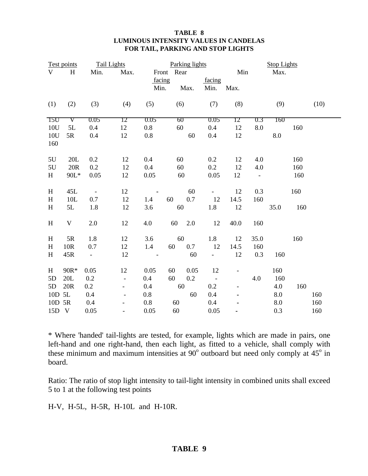#### **TABLE 8 LUMINOUS INTENSITY VALUES IN CANDELAS FOR TAIL, PARKING AND STOP LIGHTS**

|                           | Test points |                          | <b>Tail Lights</b>       | Parking lights |            |      |                  | <b>Stop Lights</b> |                |      |     |      |
|---------------------------|-------------|--------------------------|--------------------------|----------------|------------|------|------------------|--------------------|----------------|------|-----|------|
| V                         | H           | Min.                     | Max.                     |                | Front Rear |      |                  | Min                |                | Max. |     |      |
|                           |             |                          |                          |                | facing     |      | facing           |                    |                |      |     |      |
|                           |             |                          |                          | Min.           |            | Max. | Min.             | Max.               |                |      |     |      |
| (1)                       | (2)         | (3)                      | (4)                      | (5)            | (6)        |      | (7)              | (8)                |                | (9)  |     | (10) |
| T5U                       | V           | 0.05                     | 12                       | 0.05           | 60         |      | 0.05             | 12                 | 0.3            | 160  |     |      |
| 10U                       | 5L          | 0.4                      | 12                       | 0.8            | 60         |      | 0.4              | 12                 | 8.0            |      | 160 |      |
| 10U<br>160                | 5R          | 0.4                      | 12                       | 0.8            |            | 60   | 0.4              | 12                 |                | 8.0  |     |      |
| 5U                        | 20L         | 0.2                      | 12                       | 0.4            | 60         |      | 0.2              | 12                 | 4.0            |      | 160 |      |
| $5U$                      | 20R         | 0.2                      | 12                       | 0.4            | 60         |      | 0.2              | 12                 | 4.0            |      | 160 |      |
| H                         | 90L*        | 0.05                     | 12                       | 0.05           | 60         |      | 0.05             | 12                 | $\blacksquare$ |      | 160 |      |
| H                         | 45L         | $\overline{\phantom{a}}$ | 12                       |                |            | 60   | $\omega_{\rm c}$ | 12                 | 0.3            |      | 160 |      |
| $H_{\rm}$                 | 10L         | 0.7                      | 12                       | 1.4            | 60         | 0.7  | 12               | 14.5               | 160            |      |     |      |
| H                         | 5L          | 1.8                      | 12                       | 3.6            | 60         |      | 1.8              | 12                 |                | 35.0 | 160 |      |
| $\boldsymbol{\mathrm{H}}$ | $\mathbf V$ | 2.0                      | 12                       | 4.0            | 60         | 2.0  | 12               | 40.0               | 160            |      |     |      |
| H                         | 5R          | 1.8                      | 12                       | 3.6            | 60         |      | 1.8              | 12                 | 35.0           |      | 160 |      |
| $\boldsymbol{\mathrm{H}}$ | 10R         | 0.7                      | 12                       | 1.4            | 60         | 0.7  | 12               | 14.5               | 160            |      |     |      |
| H                         | 45R         | $\overline{\phantom{0}}$ | 12                       |                |            | 60   | $\overline{a}$   | 12                 | 0.3            | 160  |     |      |
| H                         | 90R*        | 0.05                     | 12                       | 0.05           | 60         | 0.05 | 12               |                    |                | 160  |     |      |
| 5D                        | 20L         | 0.2                      | $\overline{\phantom{0}}$ | 0.4            | 60         | 0.2  | $\Box$           |                    | 4.0            | 160  |     |      |
| 5D                        | 20R         | 0.2                      | $\overline{\phantom{a}}$ | 0.4            | 60         |      | 0.2              | $\qquad \qquad -$  |                | 4.0  | 160 |      |
| 10D 5L                    |             | 0.4                      | $\overline{\phantom{a}}$ | 0.8            |            | 60   | 0.4              |                    |                | 8.0  |     | 160  |
| 10D 5R                    |             | 0.4                      |                          | 0.8            | 60         |      | 0.4              |                    |                | 8.0  |     | 160  |
| 15D V                     |             | 0.05                     | $\overline{\phantom{0}}$ | 0.05           | 60         |      | 0.05             |                    |                | 0.3  |     | 160  |

\* Where 'handed' tail-lights are tested, for example, lights which are made in pairs, one left-hand and one right-hand, then each light, as fitted to a vehicle, shall comply with these minimum and maximum intensities at  $90^{\circ}$  outboard but need only comply at  $45^{\circ}$  in board.

Ratio: The ratio of stop light intensity to tail-light intensity in combined units shall exceed 5 to 1 at the following test points

H-V, H-5L, H-5R, H-10L and H-10R.

#### **TABLE 9**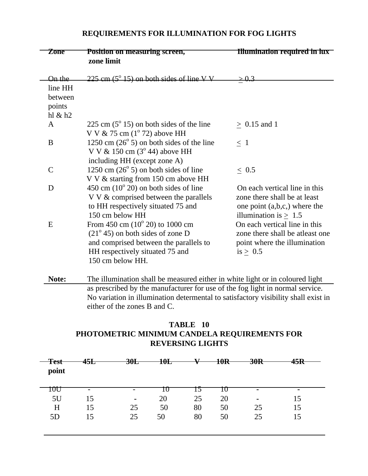| <i>L</i> one  | r osition on measuring screen,<br>zone limit                                          | пшиннации гединен ні піх        |
|---------------|---------------------------------------------------------------------------------------|---------------------------------|
| On the        | $225 \text{ cm}$ (5 $^{\circ}$ 15) on both sides of line V V                          |                                 |
| line HH       |                                                                                       |                                 |
| between       |                                                                                       |                                 |
| points        |                                                                                       |                                 |
| hl & h2       |                                                                                       |                                 |
| A             | 225 cm $(5^{\circ} 15)$ on both sides of the line                                     | $> 0.15$ and 1                  |
|               | V V $\&$ 75 cm (1 <sup>o</sup> 72) above HH                                           |                                 |
| B             | 1250 cm $(26^{\circ} 5)$ on both sides of the line                                    | $\leq 1$                        |
|               | V V & 150 cm $(3^{\circ} 44)$ above HH                                                |                                 |
| $\mathcal{C}$ | including HH (except zone A)                                                          |                                 |
|               | 1250 cm $(26^{\circ} 5)$ on both sides of line<br>V V & starting from 150 cm above HH | ~<~0.5                          |
| D             | $450 \text{ cm}$ (10 $\degree$ 20) on both sides of line                              | On each vertical line in this   |
|               | V V & comprised between the parallels                                                 | zone there shall be at least    |
|               | to HH respectively situated 75 and                                                    | one point $(a,b,c)$ , where the |
|               | 150 cm below HH                                                                       | illumination is $> 1.5$         |
| E             | From $450 \text{ cm } (10^{\circ} 20)$ to $1000 \text{ cm}$                           | On each vertical line in this   |
|               | $(21^{\circ} 45)$ on both sides of zone D                                             | zone there shall be atleast one |
|               | and comprised between the parallels to                                                | point where the illumination    |
|               | HH respectively situated 75 and                                                       | is $\geq 0.5$                   |
|               | 150 cm below HH.                                                                      |                                 |
|               |                                                                                       |                                 |
| Note:         | The illumination shall be measured either in white light or in coloured light         |                                 |

#### **REQUIREMENTS FOR ILLUMINATION FOR FOG LIGHTS**

**Zone Position on measuring screen, Illumination required in lux**

as prescribed by the manufacturer for use of the fog light in normal service. No variation in illumination determental to satisfactory visibility shall exist in either of the zones B and C.

#### **TABLE 10 PHOTOMETRIC MINIMUM CANDELA REQUIREMENTS FOR REVERSING LIGHTS**

| $T$ aat<br>тсэг<br>point | <i><b>AET</b></i><br>7JL | 30 <sub>L</sub>          | <u> 10L</u><br>IVL | $\mathbf{v}$ | 10R | 20D<br>JUR     | $\bf 15D$<br>чэк |  |
|--------------------------|--------------------------|--------------------------|--------------------|--------------|-----|----------------|------------------|--|
| $\cdots$<br>10U          | $\overline{\phantom{a}}$ | $\overline{\phantom{a}}$ | 1∪                 |              | ΙU  | $\blacksquare$ | $\blacksquare$   |  |
| 5U                       |                          | $\blacksquare$           | 20                 | 25           | 20  | $\blacksquare$ |                  |  |
| H                        |                          | 25                       | 50                 | 80           | 50  | 25             |                  |  |
| 5D                       | 15                       | 25                       | 50                 | 80           | 50  | 25             |                  |  |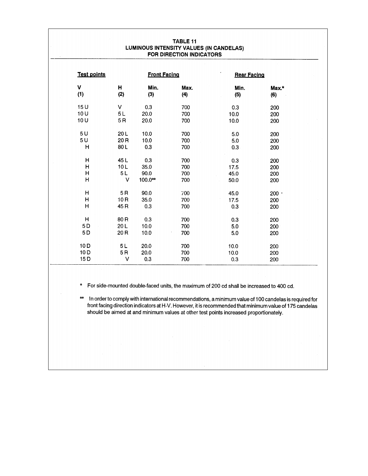| TABLE 11<br>LUMINOUS INTENSITY VALUES (IN CANDELAS)<br>FOR DIRECTION INDICATORS |                     |         |      |                    |       |  |  |  |  |  |
|---------------------------------------------------------------------------------|---------------------|---------|------|--------------------|-------|--|--|--|--|--|
| <b>Test points</b>                                                              | <b>Front Facing</b> |         |      | <b>Rear Facing</b> |       |  |  |  |  |  |
| V                                                                               | н                   | Min.    | Max. | Min.               | Max.* |  |  |  |  |  |
| (1)                                                                             | (2)                 | (3)     | (4)  | (5)                | (6)   |  |  |  |  |  |
| 15U                                                                             | V                   | 0.3     | 700  | 0.3                | 200   |  |  |  |  |  |
| 10U                                                                             | 5L                  | 20.0    | 700  | 10.0               | 200   |  |  |  |  |  |
| 10U                                                                             | 5R                  | 20.0    | 700  | 10.0               | 200   |  |  |  |  |  |
| 5U                                                                              | 20L                 | 10.0    | 700  | 5.0 <sub>1</sub>   | 200   |  |  |  |  |  |
| 5U                                                                              | 20 R                | 10.0    | 700  | 5.0                | 200   |  |  |  |  |  |
| н                                                                               | 80L                 | 0.3     | 700  | 0.3                | 200   |  |  |  |  |  |
| н                                                                               | 45L                 | 0.3     | 700  | 0.3                | 200   |  |  |  |  |  |
| н                                                                               | 10L                 | 35.0    | 700  | 17.5               | 200   |  |  |  |  |  |
| $\mathsf{H}$                                                                    | 5L                  | 90.0    | 700  | 45.0               | 200   |  |  |  |  |  |
| H                                                                               | $\vee$              | 100.0** | 700  | 50.0               | 200   |  |  |  |  |  |
| Η                                                                               | 5R                  | 90.0    | 700  | 45.0               | 200.  |  |  |  |  |  |
| н                                                                               | 10R                 | 35.0    | 700  | 17.5               | 200   |  |  |  |  |  |
| н                                                                               | 45 R                | 0.3     | 700  | 0.3                | 200   |  |  |  |  |  |
| Н                                                                               | 80 <sub>R</sub>     | 0.3     | 700  | 0.3                | 200   |  |  |  |  |  |
| 5 D                                                                             | 20L                 | 10.0    | 700  | 5.0                | 200   |  |  |  |  |  |
| 5D                                                                              | 20 <sub>R</sub>     | 10.0    | 700  | 5.0                | 200   |  |  |  |  |  |
| 10D                                                                             | 5L                  | 20.0    | 700  | 10.0               | 200   |  |  |  |  |  |
| 10 <sub>D</sub>                                                                 | 5R                  | 20.0    | 700  | 10.0               | 200   |  |  |  |  |  |
| 15 <sub>D</sub>                                                                 | v                   | 0.3     | 700  | 0.3                | 200   |  |  |  |  |  |

For side-mounted double-faced units, the maximum of 200 cd shall be increased to 400 cd.  $\pmb{\star}$ 

In order to comply with international recommendations, a minimum value of 100 candelas is required for  $\star\star$ front facing direction indicators at H-V. However, it is recommended that minimum value of 175 candelas should be aimed at and minimum values at other test points increased proportionately.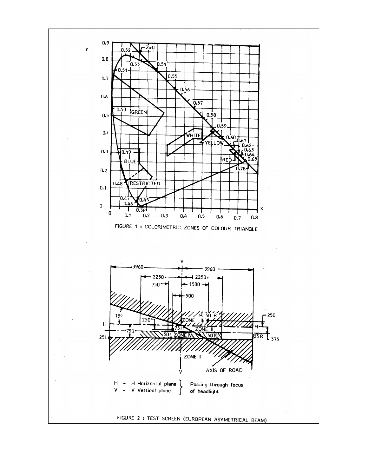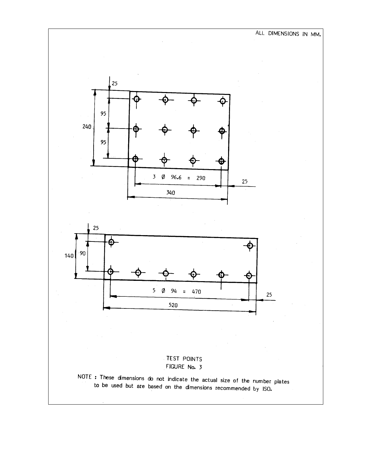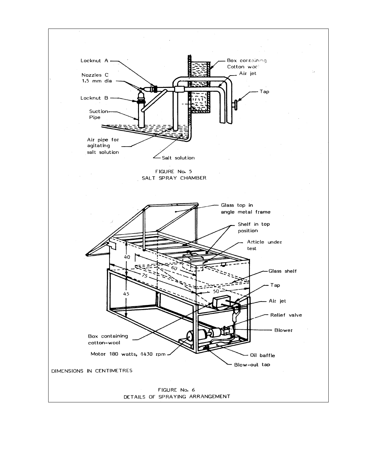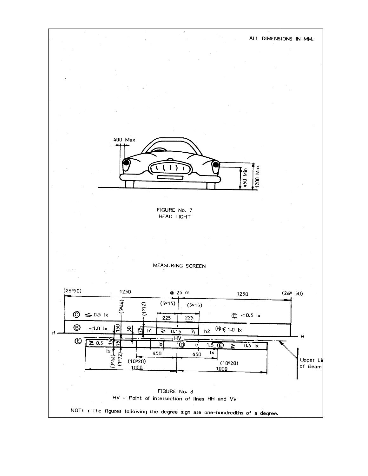